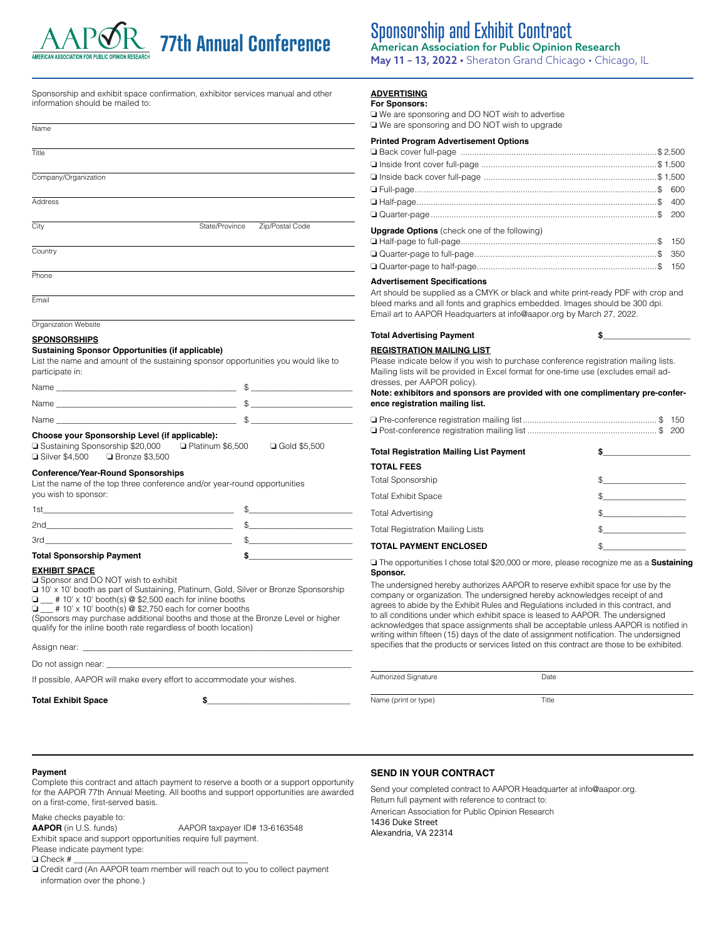## **77th Annual Conference**

### Sponsorship and Exhibit Contract American Association for Public Opinion Research

May 11 – 13, 2022 • Sheraton Grand Chicago • Chicago, IL

Sponsorship and exhibit space confirmation, exhibitor services manual and other information should be mailed to:

| Name                 |                |                 |
|----------------------|----------------|-----------------|
| Title                |                |                 |
| Company/Organization |                |                 |
| Address              |                |                 |
| City                 | State/Province | Zip/Postal Code |
| Country              |                |                 |
| Phone                |                |                 |
| Email                |                |                 |

Organization Website

**SPONSORSHIPS**

#### **Sustaining Sponsor Opportunities (if applicable)**

List the name and amount of the sustaining sponsor opportunities you would like to participate in:

| Name |  |
|------|--|
| Name |  |
| Name |  |

## **Choose your Sponsorship Level (if applicable):**<br>□ Sustaining Sponsorship \$20,000 □ Platinum \$6.500

❏ Sustaining Sponsorship \$20,000 ❏ Platinum \$6,500 ❏ Gold \$5,500 ❏ Silver \$4,500 ❏ Bronze \$3,500

#### **Conference/Year-Round Sponsorships**

List the name of the top three conference and/or year-round opportunities you wish to sponsor:

| <b>Total Sponsorship Payment</b> |  |  |
|----------------------------------|--|--|
| 3rd                              |  |  |
| 2 <sub>nd</sub>                  |  |  |
| 1s                               |  |  |

#### **EXHIBIT SPACE**

❏ Sponsor and DO NOT wish to exhibit

❏ 10' x 10' booth as part of Sustaining, Platinum, Gold, Silver or Bronze Sponsorship ❏ \_\_\_ # 10' x 10' booth(s) @ \$2,500 each for inline booths

 $\Box$   $\equiv$  10' x 10' booth(s) @ \$2,750 each for corner booths

(Sponsors may purchase additional booths and those at the Bronze Level or higher qualify for the inline booth rate regardless of booth location)

Assign near:

Do not assign near:

If possible, AAPOR will make every effort to accommodate your wishes.

Total Exhibit Space **\$** 

#### **ADVERTISING**

**For Sponsors:**

❏ We are sponsoring and DO NOT wish to advertise ❏ We are sponsoring and DO NOT wish to upgrade

| <b>Printed Program Advertisement Options</b>        |  |
|-----------------------------------------------------|--|
|                                                     |  |
|                                                     |  |
|                                                     |  |
|                                                     |  |
|                                                     |  |
|                                                     |  |
| <b>Upgrade Options</b> (check one of the following) |  |
|                                                     |  |
|                                                     |  |
|                                                     |  |

#### **Advertisement Specifications**

Art should be supplied as a CMYK or black and white print-ready PDF with crop and bleed marks and all fonts and graphics embedded. Images should be 300 dpi. Email art to AAPOR Headquarters at info@aapor.org by March 27, 2022.

**Total Advertising Payment \$\_\_\_\_\_\_\_\_\_\_\_\_\_\_\_\_\_\_\_**

#### **REGISTRATION MAILING LIST**

Please indicate below if you wish to purchase conference registration mailing lists. Mailing lists will be provided in Excel format for one-time use (excludes email addresses, per AAPOR policy).

**Note: exhibitors and sponsors are provided with one complimentary pre-conference registration mailing list.**

| <b>Total Registration Mailing List Payment</b> |               |
|------------------------------------------------|---------------|
| <b>TOTAL FEES</b>                              |               |
| <b>Total Sponsorship</b>                       |               |
| <b>Total Exhibit Space</b>                     | $\mathbb{S}$  |
| <b>Total Advertising</b>                       | $\mathbb{S}$  |
| <b>Total Registration Mailing Lists</b>        | $\mathbb{S}$  |
| <b>TOTAL PAYMENT ENCLOSED</b>                  | $\frac{1}{2}$ |

❏ The opportunities I chose total \$20,000 or more, please recognize me as a **Sustaining Sponsor.**

The undersigned hereby authorizes AAPOR to reserve exhibit space for use by the company or organization. The undersigned hereby acknowledges receipt of and agrees to abide by the Exhibit Rules and Regulations included in this contract, and to all conditions under which exhibit space is leased to AAPOR. The undersigned acknowledges that space assignments shall be acceptable unless AAPOR is notified in writing within fifteen (15) days of the date of assignment notification. The undersigned specifies that the products or services listed on this contract are those to be exhibited.

Name (print or type) Title

**Payment**

Complete this contract and attach payment to reserve a booth or a support opportunity for the AAPOR 77th Annual Meeting. All booths and support opportunities are awarded on a first-come, first-served basis.

Make checks payable to:

AAPOR (in U.S. funds) AAPOR taxpayer ID# 13-6163548 Exhibit space and support opportunities require full payment.

Please indicate payment type:

❏ Check # \_\_\_\_\_\_\_\_\_\_\_\_\_\_\_\_\_\_\_\_\_\_\_\_\_\_\_\_\_\_\_\_\_\_\_\_\_\_\_\_\_\_

❏ Credit card (An AAPOR team member will reach out to you to collect payment information over the phone.)

#### **SEND IN YOUR CONTRACT**

Authorized Signature Date

Send your completed contract to AAPOR Headquarter at info@aapor.org. Return full payment with reference to contract to: American Association for Public Opinion Research 1436 Duke Street Alexandria, VA 22314